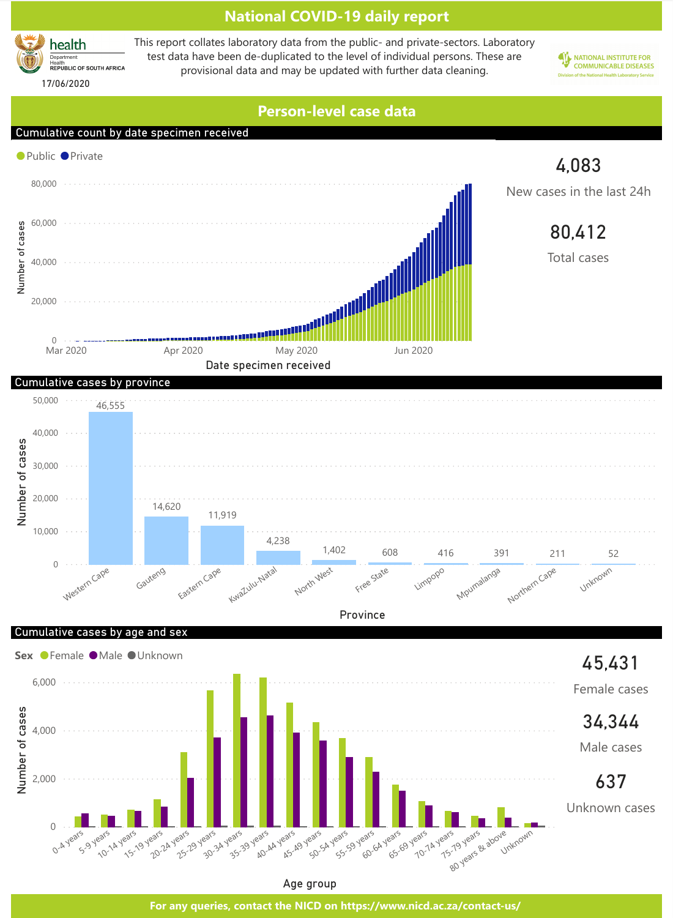

Age group

**For any queries, contact the NICD on https://www.nicd.ac.za/contact-us/**